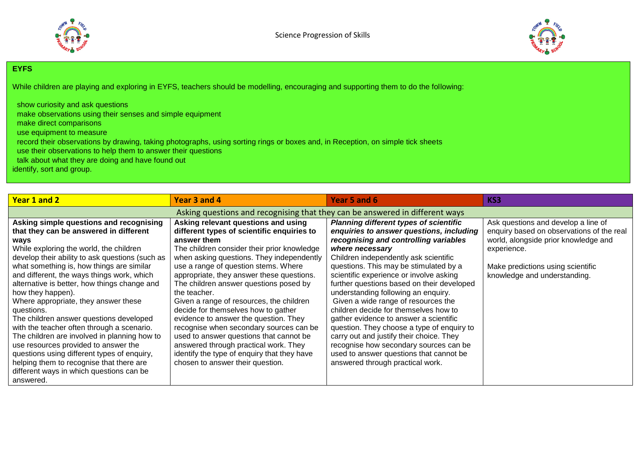



## **EYFS**

While children are playing and exploring in EYFS, teachers should be modelling, encouraging and supporting them to do the following:

| show curiosity and ask questions                                                                                                |
|---------------------------------------------------------------------------------------------------------------------------------|
| make observations using their senses and simple equipment                                                                       |
| make direct comparisons                                                                                                         |
| use equipment to measure                                                                                                        |
| record their observations by drawing, taking photographs, using sorting rings or boxes and, in Reception, on simple tick sheets |
| use their observations to help them to answer their questions                                                                   |
| talk about what they are doing and have found out                                                                               |
| identify, sort and group.                                                                                                       |
|                                                                                                                                 |

| Year 1 and 2                                                                                                                                                                                                                                                                                                                                                                                                                                                                                                                                                                                                                                                                                                                                       | Year 3 and 4                                                                                                                                                                                                                                                                                                                                                                                                                                                                                                                                                                                                                                                                              | Year 5 and 6                                                                                                                                                                                                                                                                                                                                                                                                                                                                                                                                                                                                                                                                                                          | KS3                                                                                                                                                                                                          |  |
|----------------------------------------------------------------------------------------------------------------------------------------------------------------------------------------------------------------------------------------------------------------------------------------------------------------------------------------------------------------------------------------------------------------------------------------------------------------------------------------------------------------------------------------------------------------------------------------------------------------------------------------------------------------------------------------------------------------------------------------------------|-------------------------------------------------------------------------------------------------------------------------------------------------------------------------------------------------------------------------------------------------------------------------------------------------------------------------------------------------------------------------------------------------------------------------------------------------------------------------------------------------------------------------------------------------------------------------------------------------------------------------------------------------------------------------------------------|-----------------------------------------------------------------------------------------------------------------------------------------------------------------------------------------------------------------------------------------------------------------------------------------------------------------------------------------------------------------------------------------------------------------------------------------------------------------------------------------------------------------------------------------------------------------------------------------------------------------------------------------------------------------------------------------------------------------------|--------------------------------------------------------------------------------------------------------------------------------------------------------------------------------------------------------------|--|
| Asking questions and recognising that they can be answered in different ways                                                                                                                                                                                                                                                                                                                                                                                                                                                                                                                                                                                                                                                                       |                                                                                                                                                                                                                                                                                                                                                                                                                                                                                                                                                                                                                                                                                           |                                                                                                                                                                                                                                                                                                                                                                                                                                                                                                                                                                                                                                                                                                                       |                                                                                                                                                                                                              |  |
| Asking simple questions and recognising<br>that they can be answered in different<br>ways<br>While exploring the world, the children<br>develop their ability to ask questions (such as<br>what something is, how things are similar<br>and different, the ways things work, which<br>alternative is better, how things change and<br>how they happen).<br>Where appropriate, they answer these<br>questions.<br>The children answer questions developed<br>with the teacher often through a scenario.<br>The children are involved in planning how to<br>use resources provided to answer the<br>questions using different types of enquiry,<br>helping them to recognise that there are<br>different ways in which questions can be<br>answered. | Asking relevant questions and using<br>different types of scientific enquiries to<br>answer them<br>The children consider their prior knowledge<br>when asking questions. They independently<br>use a range of question stems. Where<br>appropriate, they answer these questions.<br>The children answer questions posed by<br>the teacher.<br>Given a range of resources, the children<br>decide for themselves how to gather<br>evidence to answer the question. They<br>recognise when secondary sources can be<br>used to answer questions that cannot be<br>answered through practical work. They<br>identify the type of enquiry that they have<br>chosen to answer their question. | <b>Planning different types of scientific</b><br>enquiries to answer questions, including<br>recognising and controlling variables<br>where necessary<br>Children independently ask scientific<br>questions. This may be stimulated by a<br>scientific experience or involve asking<br>further questions based on their developed<br>understanding following an enquiry.<br>Given a wide range of resources the<br>children decide for themselves how to<br>gather evidence to answer a scientific<br>question. They choose a type of enquiry to<br>carry out and justify their choice. They<br>recognise how secondary sources can be<br>used to answer questions that cannot be<br>answered through practical work. | Ask questions and develop a line of<br>enquiry based on observations of the real<br>world, alongside prior knowledge and<br>experience.<br>Make predictions using scientific<br>knowledge and understanding. |  |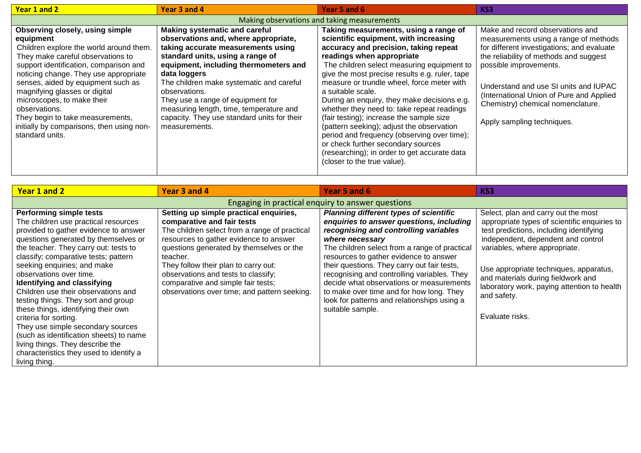| Year 1 and 2                                                                                                                                                                                                                                                                                                                                                                                                                              | Year 3 and 4                                                                                                                                                                                                                                                                                                                                                                                                                 | Year 5 and 6                                                                                                                                                                                                                                                                                                                                                                                                                                                                                                                                                                                                                                                                      | KS3                                                                                                                                                                                                                                                                                                                                                 |  |
|-------------------------------------------------------------------------------------------------------------------------------------------------------------------------------------------------------------------------------------------------------------------------------------------------------------------------------------------------------------------------------------------------------------------------------------------|------------------------------------------------------------------------------------------------------------------------------------------------------------------------------------------------------------------------------------------------------------------------------------------------------------------------------------------------------------------------------------------------------------------------------|-----------------------------------------------------------------------------------------------------------------------------------------------------------------------------------------------------------------------------------------------------------------------------------------------------------------------------------------------------------------------------------------------------------------------------------------------------------------------------------------------------------------------------------------------------------------------------------------------------------------------------------------------------------------------------------|-----------------------------------------------------------------------------------------------------------------------------------------------------------------------------------------------------------------------------------------------------------------------------------------------------------------------------------------------------|--|
| Making observations and taking measurements                                                                                                                                                                                                                                                                                                                                                                                               |                                                                                                                                                                                                                                                                                                                                                                                                                              |                                                                                                                                                                                                                                                                                                                                                                                                                                                                                                                                                                                                                                                                                   |                                                                                                                                                                                                                                                                                                                                                     |  |
| Observing closely, using simple<br>equipment<br>Children explore the world around them.<br>They make careful observations to<br>support identification, comparison and<br>noticing change. They use appropriate<br>senses, aided by equipment such as<br>magnifying glasses or digital<br>microscopes, to make their<br>observations.<br>They begin to take measurements,<br>initially by comparisons, then using non-<br>standard units. | <b>Making systematic and careful</b><br>observations and, where appropriate,<br>taking accurate measurements using<br>standard units, using a range of<br>equipment, including thermometers and<br>data loggers<br>The children make systematic and careful<br>observations.<br>They use a range of equipment for<br>measuring length, time, temperature and<br>capacity. They use standard units for their<br>measurements. | Taking measurements, using a range of<br>scientific equipment, with increasing<br>accuracy and precision, taking repeat<br>readings when appropriate<br>The children select measuring equipment to<br>give the most precise results e.g. ruler, tape<br>measure or trundle wheel, force meter with<br>a suitable scale.<br>During an enquiry, they make decisions e.g.<br>whether they need to: take repeat readings<br>(fair testing); increase the sample size<br>(pattern seeking); adjust the observation<br>period and frequency (observing over time);<br>or check further secondary sources<br>(researching); in order to get accurate data<br>(closer to the true value). | Make and record observations and<br>measurements using a range of methods<br>for different investigations; and evaluate<br>the reliability of methods and suggest<br>possible improvements.<br>Understand and use SI units and IUPAC<br>(International Union of Pure and Applied<br>Chemistry) chemical nomenclature.<br>Apply sampling techniques. |  |

| Year 1 and 2                                                                                                                                                                                                                                                                                                                                                                                                                                                                                                                                                                                                                                                    | Year 3 and 4                                                                                                                                                                                                                                                                                                                                                                                 | Year 5 and 6                                                                                                                                                                                                                                                                                                                                                                                                                                                                                              | KS3                                                                                                                                                                                                                                                                                                                                                                    |  |
|-----------------------------------------------------------------------------------------------------------------------------------------------------------------------------------------------------------------------------------------------------------------------------------------------------------------------------------------------------------------------------------------------------------------------------------------------------------------------------------------------------------------------------------------------------------------------------------------------------------------------------------------------------------------|----------------------------------------------------------------------------------------------------------------------------------------------------------------------------------------------------------------------------------------------------------------------------------------------------------------------------------------------------------------------------------------------|-----------------------------------------------------------------------------------------------------------------------------------------------------------------------------------------------------------------------------------------------------------------------------------------------------------------------------------------------------------------------------------------------------------------------------------------------------------------------------------------------------------|------------------------------------------------------------------------------------------------------------------------------------------------------------------------------------------------------------------------------------------------------------------------------------------------------------------------------------------------------------------------|--|
| Engaging in practical enguiry to answer questions                                                                                                                                                                                                                                                                                                                                                                                                                                                                                                                                                                                                               |                                                                                                                                                                                                                                                                                                                                                                                              |                                                                                                                                                                                                                                                                                                                                                                                                                                                                                                           |                                                                                                                                                                                                                                                                                                                                                                        |  |
| <b>Performing simple tests</b><br>The children use practical resources<br>provided to gather evidence to answer<br>questions generated by themselves or<br>the teacher. They carry out: tests to<br>classify; comparative tests; pattern<br>seeking enquiries; and make<br>observations over time.<br>Identifying and classifying<br>Children use their observations and<br>testing things. They sort and group<br>these things, identifying their own<br>criteria for sorting.<br>They use simple secondary sources<br>(such as identification sheets) to name<br>living things. They describe the<br>characteristics they used to identify a<br>living thing. | Setting up simple practical enquiries,<br>comparative and fair tests<br>The children select from a range of practical<br>resources to gather evidence to answer<br>questions generated by themselves or the<br>teacher.<br>They follow their plan to carry out:<br>observations and tests to classify;<br>comparative and simple fair tests;<br>observations over time; and pattern seeking. | <b>Planning different types of scientific</b><br>enquiries to answer questions, including<br>recognising and controlling variables<br>where necessary<br>The children select from a range of practical<br>resources to gather evidence to answer<br>their questions. They carry out fair tests,<br>recognising and controlling variables. They<br>decide what observations or measurements<br>to make over time and for how long. They<br>look for patterns and relationships using a<br>suitable sample. | Select, plan and carry out the most<br>appropriate types of scientific enquiries to<br>test predictions, including identifying<br>independent, dependent and control<br>variables, where appropriate.<br>Use appropriate techniques, apparatus,<br>and materials during fieldwork and<br>laboratory work, paying attention to health<br>and safety.<br>Evaluate risks. |  |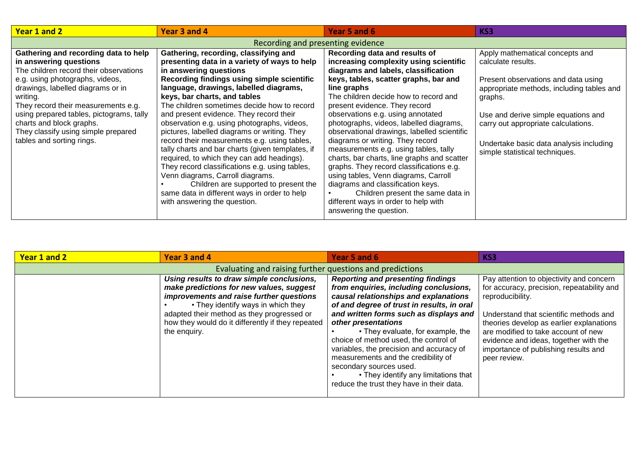| Year 1 and 2                                                                                                                                                                                                                                                                                                                                                                    | Year 3 and 4                                                                                                                                                                                                                                                                                                                                                                                                                                                                                                                                                                                                                                                                                                                                                                                      | Year 5 and 6                                                                                                                                                                                                                                                                                                                                                                                                                                                                                                                                                                                                                                                                                                                                 | KS3                                                                                                                                                                                                                                                                                                             |  |  |
|---------------------------------------------------------------------------------------------------------------------------------------------------------------------------------------------------------------------------------------------------------------------------------------------------------------------------------------------------------------------------------|---------------------------------------------------------------------------------------------------------------------------------------------------------------------------------------------------------------------------------------------------------------------------------------------------------------------------------------------------------------------------------------------------------------------------------------------------------------------------------------------------------------------------------------------------------------------------------------------------------------------------------------------------------------------------------------------------------------------------------------------------------------------------------------------------|----------------------------------------------------------------------------------------------------------------------------------------------------------------------------------------------------------------------------------------------------------------------------------------------------------------------------------------------------------------------------------------------------------------------------------------------------------------------------------------------------------------------------------------------------------------------------------------------------------------------------------------------------------------------------------------------------------------------------------------------|-----------------------------------------------------------------------------------------------------------------------------------------------------------------------------------------------------------------------------------------------------------------------------------------------------------------|--|--|
| Recording and presenting evidence                                                                                                                                                                                                                                                                                                                                               |                                                                                                                                                                                                                                                                                                                                                                                                                                                                                                                                                                                                                                                                                                                                                                                                   |                                                                                                                                                                                                                                                                                                                                                                                                                                                                                                                                                                                                                                                                                                                                              |                                                                                                                                                                                                                                                                                                                 |  |  |
| Gathering and recording data to help<br>in answering questions<br>The children record their observations<br>e.g. using photographs, videos,<br>drawings, labelled diagrams or in<br>writing.<br>They record their measurements e.g.<br>using prepared tables, pictograms, tally<br>charts and block graphs.<br>They classify using simple prepared<br>tables and sorting rings. | Gathering, recording, classifying and<br>presenting data in a variety of ways to help<br>in answering questions<br>Recording findings using simple scientific<br>language, drawings, labelled diagrams,<br>keys, bar charts, and tables<br>The children sometimes decide how to record<br>and present evidence. They record their<br>observation e.g. using photographs, videos,<br>pictures, labelled diagrams or writing. They<br>record their measurements e.g. using tables,<br>tally charts and bar charts (given templates, if<br>required, to which they can add headings).<br>They record classifications e.g. using tables,<br>Venn diagrams, Carroll diagrams.<br>Children are supported to present the<br>same data in different ways in order to help<br>with answering the question. | Recording data and results of<br>increasing complexity using scientific<br>diagrams and labels, classification<br>keys, tables, scatter graphs, bar and<br>line graphs<br>The children decide how to record and<br>present evidence. They record<br>observations e.g. using annotated<br>photographs, videos, labelled diagrams,<br>observational drawings, labelled scientific<br>diagrams or writing. They record<br>measurements e.g. using tables, tally<br>charts, bar charts, line graphs and scatter<br>graphs. They record classifications e.g.<br>using tables, Venn diagrams, Carroll<br>diagrams and classification keys.<br>Children present the same data in<br>different ways in order to help with<br>answering the question. | Apply mathematical concepts and<br>calculate results.<br>Present observations and data using<br>appropriate methods, including tables and<br>graphs.<br>Use and derive simple equations and<br>carry out appropriate calculations.<br>Undertake basic data analysis including<br>simple statistical techniques. |  |  |

| Year 1 and 2 | Year 3 and 4                                                                                                                                                                                                                                                                               | Year 5 and 6                                                                                                                                                                                                                                                                                                                                                                                                                                                                                                                | KS3                                                                                                                                                                                                                                                                                                                                      |  |  |
|--------------|--------------------------------------------------------------------------------------------------------------------------------------------------------------------------------------------------------------------------------------------------------------------------------------------|-----------------------------------------------------------------------------------------------------------------------------------------------------------------------------------------------------------------------------------------------------------------------------------------------------------------------------------------------------------------------------------------------------------------------------------------------------------------------------------------------------------------------------|------------------------------------------------------------------------------------------------------------------------------------------------------------------------------------------------------------------------------------------------------------------------------------------------------------------------------------------|--|--|
|              | Evaluating and raising further questions and predictions                                                                                                                                                                                                                                   |                                                                                                                                                                                                                                                                                                                                                                                                                                                                                                                             |                                                                                                                                                                                                                                                                                                                                          |  |  |
|              | Using results to draw simple conclusions,<br>make predictions for new values, suggest<br>improvements and raise further questions<br>• They identify ways in which they<br>adapted their method as they progressed or<br>how they would do it differently if they repeated<br>the enquiry. | <b>Reporting and presenting findings</b><br>from enquiries, including conclusions,<br>causal relationships and explanations<br>of and degree of trust in results, in oral<br>and written forms such as displays and<br>other presentations<br>• They evaluate, for example, the<br>choice of method used, the control of<br>variables, the precision and accuracy of<br>measurements and the credibility of<br>secondary sources used.<br>• They identify any limitations that<br>reduce the trust they have in their data. | Pay attention to objectivity and concern<br>for accuracy, precision, repeatability and<br>reproducibility.<br>Understand that scientific methods and<br>theories develop as earlier explanations<br>are modified to take account of new<br>evidence and ideas, together with the<br>importance of publishing results and<br>peer review. |  |  |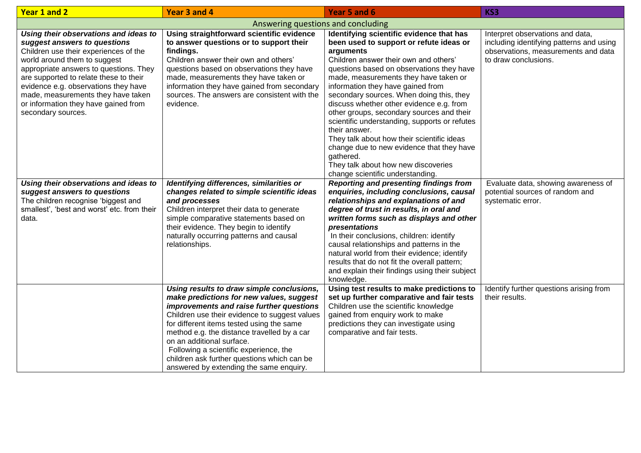| Year 1 and 2                                                                                                                                                                                                                                                                                                                                                                   | Year 3 and 4                                                                                                                                                                                                                                                                                                                                                                                                                                    | Year 5 and 6                                                                                                                                                                                                                                                                                                                                                                                                                                                                                                                                                                                                                                                   | KS3                                                                                                                                         |  |
|--------------------------------------------------------------------------------------------------------------------------------------------------------------------------------------------------------------------------------------------------------------------------------------------------------------------------------------------------------------------------------|-------------------------------------------------------------------------------------------------------------------------------------------------------------------------------------------------------------------------------------------------------------------------------------------------------------------------------------------------------------------------------------------------------------------------------------------------|----------------------------------------------------------------------------------------------------------------------------------------------------------------------------------------------------------------------------------------------------------------------------------------------------------------------------------------------------------------------------------------------------------------------------------------------------------------------------------------------------------------------------------------------------------------------------------------------------------------------------------------------------------------|---------------------------------------------------------------------------------------------------------------------------------------------|--|
| Answering questions and concluding                                                                                                                                                                                                                                                                                                                                             |                                                                                                                                                                                                                                                                                                                                                                                                                                                 |                                                                                                                                                                                                                                                                                                                                                                                                                                                                                                                                                                                                                                                                |                                                                                                                                             |  |
| Using their observations and ideas to<br>suggest answers to questions<br>Children use their experiences of the<br>world around them to suggest<br>appropriate answers to questions. They<br>are supported to relate these to their<br>evidence e.g. observations they have<br>made, measurements they have taken<br>or information they have gained from<br>secondary sources. | Using straightforward scientific evidence<br>to answer questions or to support their<br>findings.<br>Children answer their own and others'<br>questions based on observations they have<br>made, measurements they have taken or<br>information they have gained from secondary<br>sources. The answers are consistent with the<br>evidence.                                                                                                    | Identifying scientific evidence that has<br>been used to support or refute ideas or<br>arguments<br>Children answer their own and others'<br>questions based on observations they have<br>made, measurements they have taken or<br>information they have gained from<br>secondary sources. When doing this, they<br>discuss whether other evidence e.g. from<br>other groups, secondary sources and their<br>scientific understanding, supports or refutes<br>their answer.<br>They talk about how their scientific ideas<br>change due to new evidence that they have<br>gathered.<br>They talk about how new discoveries<br>change scientific understanding. | Interpret observations and data,<br>including identifying patterns and using<br>observations, measurements and data<br>to draw conclusions. |  |
| Using their observations and ideas to<br>suggest answers to questions<br>The children recognise 'biggest and<br>smallest', 'best and worst' etc. from their<br>data.                                                                                                                                                                                                           | Identifying differences, similarities or<br>changes related to simple scientific ideas<br>and processes<br>Children interpret their data to generate<br>simple comparative statements based on<br>their evidence. They begin to identify<br>naturally occurring patterns and causal<br>relationships.                                                                                                                                           | <b>Reporting and presenting findings from</b><br>enquiries, including conclusions, causal<br>relationships and explanations of and<br>degree of trust in results, in oral and<br>written forms such as displays and other<br>presentations<br>In their conclusions, children: identify<br>causal relationships and patterns in the<br>natural world from their evidence; identify<br>results that do not fit the overall pattern;<br>and explain their findings using their subject<br>knowledge.                                                                                                                                                              | Evaluate data, showing awareness of<br>potential sources of random and<br>systematic error.                                                 |  |
|                                                                                                                                                                                                                                                                                                                                                                                | Using results to draw simple conclusions,<br>make predictions for new values, suggest<br>improvements and raise further questions<br>Children use their evidence to suggest values<br>for different items tested using the same<br>method e.g. the distance travelled by a car<br>on an additional surface.<br>Following a scientific experience, the<br>children ask further questions which can be<br>answered by extending the same enquiry. | Using test results to make predictions to<br>set up further comparative and fair tests<br>Children use the scientific knowledge<br>gained from enquiry work to make<br>predictions they can investigate using<br>comparative and fair tests.                                                                                                                                                                                                                                                                                                                                                                                                                   | Identify further questions arising from<br>their results.                                                                                   |  |